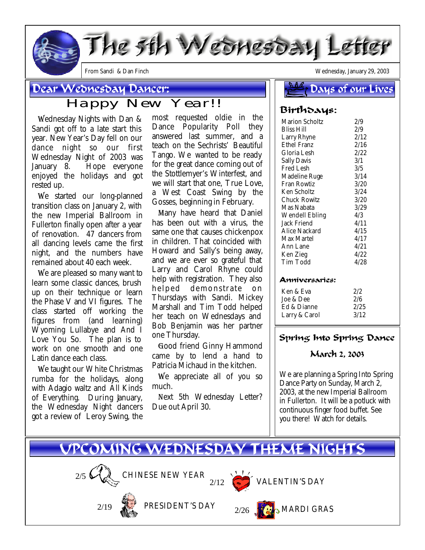

## Dear Wednesday Dancer:

# Happy New Year!!

 Wednesday Nights with Dan & Sandi got off to a late start this year. New Year's Day fell on our dance night so our first Wednesday Night of 2003 was January 8. Hope everyone enjoyed the holidays and got rested up.

 We started our long-planned transition class on January 2, with the new Imperial Ballroom in Fullerton finally open after a year of renovation. 47 dancers from all dancing levels came the first night, and the numbers have remained about 40 each week.

 We are pleased so many want to learn some classic dances, brush up on their technique or learn the Phase V and VI figures. The class started off working the figures from (and learning) *Wyoming Lullabye* and *And I Love You So*. The plan is to work on one smooth and one Latin dance each class.

 we taught our *White Christmas rumba* for the holidays, along with *Adagio* waltz and *All Kinds of Everything.* During January, the Wednesday Night dancers got a review of Leroy Swing, the

most requested oldie in the Dance Popularity Poll they answered last summer, and a teach on the Sechrists' *Beautiful Tango.* We wanted to be ready for the great dance coming out of the Stottlemyer's Winterfest, and we will start that one, *True Love,* a West Coast Swing by the Gosses, beginning in February.

 Many have heard that Daniel has been out with a virus, the same one that causes chickenpox in children. That coincided with Howard and Sally's being away, and we are ever so grateful that Larry and Carol Rhyne could help with registration. They also helped demonstrate on Thursdays with Sandi. Mickey Marshall and Tim Todd helped her teach on Wednesdays and Bob Benjamin was her partner one Thursday.

 Good friend Ginny Hammond came by to lend a hand to Patricia Michaud in the kitchen.

We appreciate all of you so much.

 Next 5th Wednesday Letter? Due out April 30.

*From Sandi & Dan Finch Wednesday, January 29, 2003*

#### S A *A* Days of our Lives

### Birthdays:

| <b>Marion Scholtz</b> | 2/9  |
|-----------------------|------|
| Bliss Hill            | 2/9  |
| Larry Rhyne           | 2/12 |
| Ethel Franz           | 2/16 |
| Gloria Lesh           | 2/22 |
| <b>Sally Davis</b>    | 3/1  |
| Fred Lesh             | 3/5  |
| Madeline Ruge         | 3/14 |
| Fran Rowtiz           | 3/20 |
| Ken Scholtz           | 3/24 |
| Chuck Rowitz          | 3/20 |
| Mas Nabata            | 3/29 |
| <b>Wendell Ebling</b> | 4/3  |
| Jack Friend           | 4/11 |
| Alice Nackard         | 4/15 |
| Max Martel            | 4/17 |
| Ann Lane              | 4/21 |
| Ken Zieg              | 4/22 |
| Tim Todd              | 4/28 |
|                       |      |

#### Anniversaries:

| 2/2  |
|------|
| 2/6  |
| 2/25 |
| 3/12 |
|      |

### Spring Into Spring Dance

### March 2, 2003

*We are planning a Spring Into Spring Dance Party on Sunday, March 2, 2003, at the new Imperial Ballroom in Fullerton. It will be a potluck with continuous finger food buffet. See you there! Watch for details.*

# VPCOMING WEDNESDAY THEME NIGHTS

CHINESE NEW YEAR

PRESIDENT'S DAY





 $2/12$  VALENTIN'S DAY